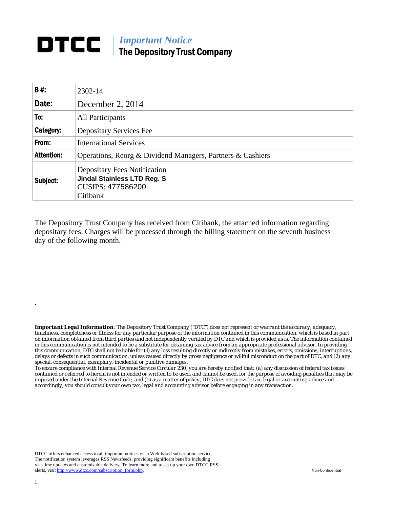## **DTCC** | *Important Notice* The Depository Trust Company

| <b>B#:</b>        | 2302-14                                                                                                    |  |  |  |
|-------------------|------------------------------------------------------------------------------------------------------------|--|--|--|
| Date:             | December 2, 2014                                                                                           |  |  |  |
| To:               | <b>All Participants</b>                                                                                    |  |  |  |
| Category:         | Depositary Services Fee                                                                                    |  |  |  |
| From:             | <b>International Services</b>                                                                              |  |  |  |
| <b>Attention:</b> | Operations, Reorg & Dividend Managers, Partners & Cashiers                                                 |  |  |  |
| Subject:          | <b>Depositary Fees Notification</b><br><b>Jindal Stainless LTD Reg. S</b><br>CUSIPS: 477586200<br>Citibank |  |  |  |

The Depository Trust Company has received from Citibank, the attached information regarding depositary fees. Charges will be processed through the billing statement on the seventh business day of the following month.

*Important Legal Information: The Depository Trust Company ("DTC") does not represent or warrant the accuracy, adequacy, timeliness, completeness or fitness for any particular purpose of the information contained in this communication, which is based in part on information obtained from third parties and not independently verified by DTC and which is provided as is. The information contained in this communication is not intended to be a substitute for obtaining tax advice from an appropriate professional advisor. In providing this communication, DTC shall not be liable for (1) any loss resulting directly or indirectly from mistakes, errors, omissions, interruptions, delays or defects in such communication, unless caused directly by gross negligence or willful misconduct on the part of DTC, and (2) any special, consequential, exemplary, incidental or punitive damages.* 

*To ensure compliance with Internal Revenue Service Circular 230, you are hereby notified that: (a) any discussion of federal tax issues contained or referred to herein is not intended or written to be used, and cannot be used, for the purpose of avoiding penalties that may be imposed under the Internal Revenue Code; and (b) as a matter of policy, DTC does not provide tax, legal or accounting advice and accordingly, you should consult your own tax, legal and accounting advisor before engaging in any transaction.*

DTCC offers enhanced access to all important notices via a Web-based subscription service. The notification system leverages RSS Newsfeeds, providing significant benefits including real-time updates and customizable delivery. To learn more and to set up your own DTCC RSS alerts, visit http://www.dtcc.com/subscription\_form.php. Non-Confidential

.